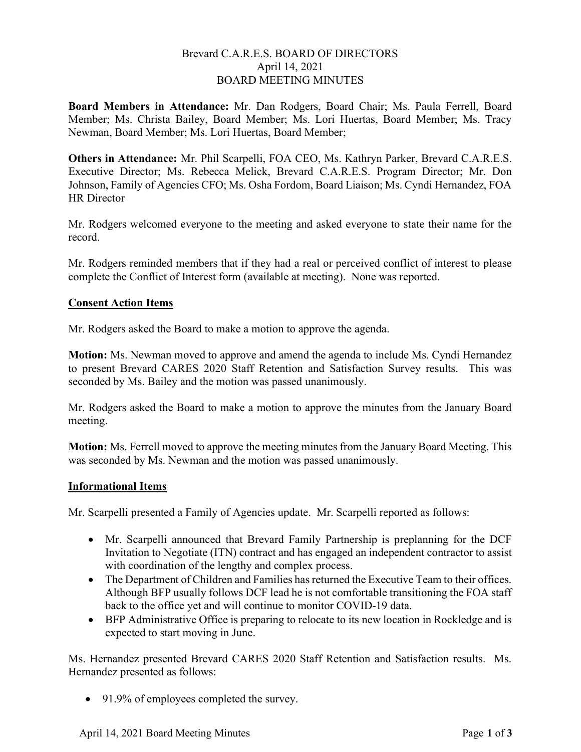## Brevard C.A.R.E.S. BOARD OF DIRECTORS April 14, 2021 BOARD MEETING MINUTES

Board Members in Attendance: Mr. Dan Rodgers, Board Chair; Ms. Paula Ferrell, Board Member; Ms. Christa Bailey, Board Member; Ms. Lori Huertas, Board Member; Ms. Tracy Newman, Board Member; Ms. Lori Huertas, Board Member;

Others in Attendance: Mr. Phil Scarpelli, FOA CEO, Ms. Kathryn Parker, Brevard C.A.R.E.S. Executive Director; Ms. Rebecca Melick, Brevard C.A.R.E.S. Program Director; Mr. Don Johnson, Family of Agencies CFO; Ms. Osha Fordom, Board Liaison; Ms. Cyndi Hernandez, FOA HR Director

Mr. Rodgers welcomed everyone to the meeting and asked everyone to state their name for the record.

Mr. Rodgers reminded members that if they had a real or perceived conflict of interest to please complete the Conflict of Interest form (available at meeting). None was reported.

# Consent Action Items

Mr. Rodgers asked the Board to make a motion to approve the agenda.

Motion: Ms. Newman moved to approve and amend the agenda to include Ms. Cyndi Hernandez to present Brevard CARES 2020 Staff Retention and Satisfaction Survey results. This was seconded by Ms. Bailey and the motion was passed unanimously.

Mr. Rodgers asked the Board to make a motion to approve the minutes from the January Board meeting.

Motion: Ms. Ferrell moved to approve the meeting minutes from the January Board Meeting. This was seconded by Ms. Newman and the motion was passed unanimously.

### Informational Items

Mr. Scarpelli presented a Family of Agencies update. Mr. Scarpelli reported as follows:

- Mr. Scarpelli announced that Brevard Family Partnership is preplanning for the DCF Invitation to Negotiate (ITN) contract and has engaged an independent contractor to assist with coordination of the lengthy and complex process.
- The Department of Children and Families has returned the Executive Team to their offices. Although BFP usually follows DCF lead he is not comfortable transitioning the FOA staff back to the office yet and will continue to monitor COVID-19 data.
- BFP Administrative Office is preparing to relocate to its new location in Rockledge and is expected to start moving in June.

Ms. Hernandez presented Brevard CARES 2020 Staff Retention and Satisfaction results. Ms. Hernandez presented as follows:

• 91.9% of employees completed the survey.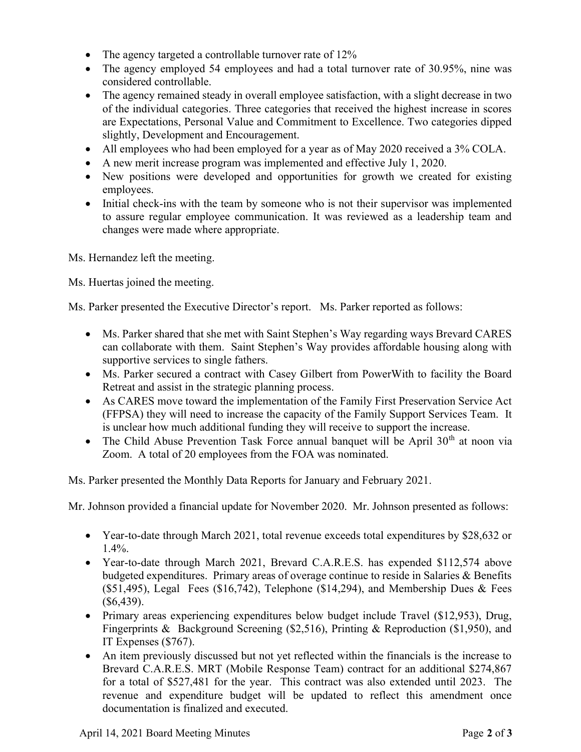- The agency targeted a controllable turnover rate of 12%
- The agency employed 54 employees and had a total turnover rate of 30.95%, nine was considered controllable.
- The agency remained steady in overall employee satisfaction, with a slight decrease in two of the individual categories. Three categories that received the highest increase in scores are Expectations, Personal Value and Commitment to Excellence. Two categories dipped slightly, Development and Encouragement.
- All employees who had been employed for a year as of May 2020 received a 3% COLA.
- A new merit increase program was implemented and effective July 1, 2020.
- New positions were developed and opportunities for growth we created for existing employees.
- Initial check-ins with the team by someone who is not their supervisor was implemented to assure regular employee communication. It was reviewed as a leadership team and changes were made where appropriate.

Ms. Hernandez left the meeting.

Ms. Huertas joined the meeting.

Ms. Parker presented the Executive Director's report. Ms. Parker reported as follows:

- Ms. Parker shared that she met with Saint Stephen's Way regarding ways Brevard CARES can collaborate with them. Saint Stephen's Way provides affordable housing along with supportive services to single fathers.
- Ms. Parker secured a contract with Casey Gilbert from PowerWith to facility the Board Retreat and assist in the strategic planning process.
- As CARES move toward the implementation of the Family First Preservation Service Act (FFPSA) they will need to increase the capacity of the Family Support Services Team. It is unclear how much additional funding they will receive to support the increase.
- The Child Abuse Prevention Task Force annual banquet will be April  $30<sup>th</sup>$  at noon via Zoom. A total of 20 employees from the FOA was nominated.

Ms. Parker presented the Monthly Data Reports for January and February 2021.

Mr. Johnson provided a financial update for November 2020. Mr. Johnson presented as follows:

- Year-to-date through March 2021, total revenue exceeds total expenditures by \$28,632 or 1.4%.
- Year-to-date through March 2021, Brevard C.A.R.E.S. has expended \$112,574 above budgeted expenditures. Primary areas of overage continue to reside in Salaries & Benefits (\$51,495), Legal Fees (\$16,742), Telephone (\$14,294), and Membership Dues  $& \text{Fees}$ (\$6,439).
- Primary areas experiencing expenditures below budget include Travel (\$12,953), Drug, Fingerprints & Background Screening (\$2,516), Printing & Reproduction (\$1,950), and IT Expenses (\$767).
- An item previously discussed but not yet reflected within the financials is the increase to Brevard C.A.R.E.S. MRT (Mobile Response Team) contract for an additional \$274,867 for a total of \$527,481 for the year. This contract was also extended until 2023. The revenue and expenditure budget will be updated to reflect this amendment once documentation is finalized and executed.